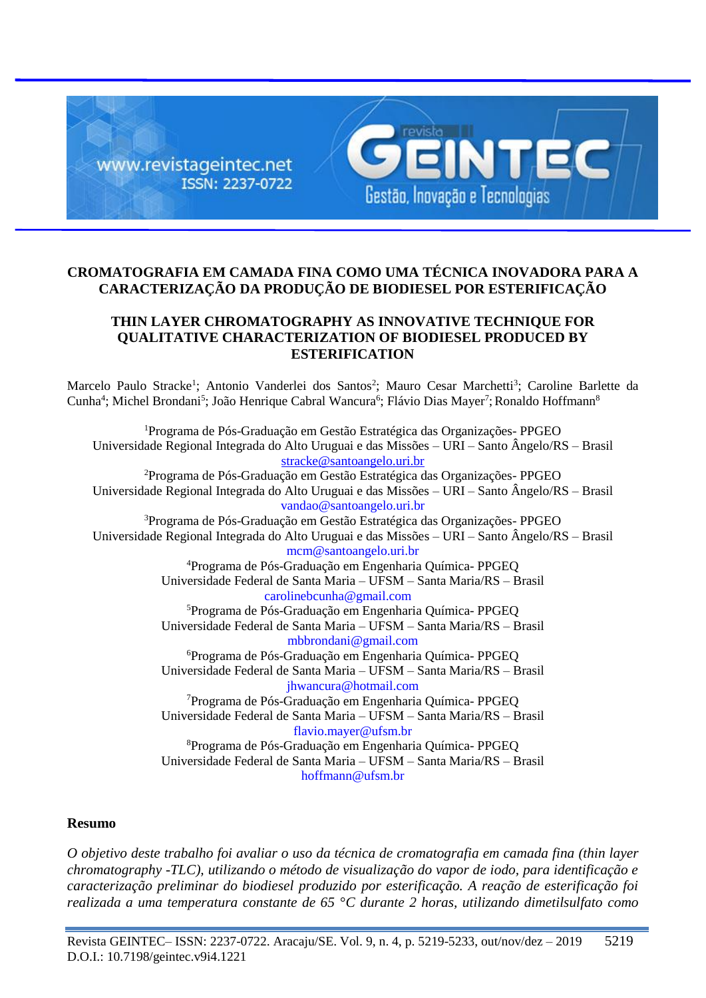

# **CROMATOGRAFIA EM CAMADA FINA COMO UMA TÉCNICA INOVADORA PARA A CARACTERIZAÇÃO DA PRODUÇÃO DE BIODIESEL POR ESTERIFICAÇÃO**

# **THIN LAYER CHROMATOGRAPHY AS INNOVATIVE TECHNIQUE FOR QUALITATIVE CHARACTERIZATION OF BIODIESEL PRODUCED BY ESTERIFICATION**

Marcelo Paulo Stracke<sup>1</sup>; Antonio Vanderlei dos Santos<sup>2</sup>; Mauro Cesar Marchetti<sup>3</sup>; Caroline Barlette da Cunha<sup>4</sup>; Michel Brondani<sup>5</sup>; João Henrique Cabral Wancura<sup>6</sup>; Flávio Dias Mayer<sup>7</sup>; Ronaldo Hoffmann<sup>8</sup>

<sup>1</sup>Programa de Pós-Graduação em Gestão Estratégica das Organizações- PPGEO Universidade Regional Integrada do Alto Uruguai e das Missões – URI – Santo Ângelo/RS – Brasil [stracke@santoangelo.uri.br](mailto:stracke@santoangelo.uri.br) <sup>2</sup>Programa de Pós-Graduação em Gestão Estratégica das Organizações- PPGEO Universidade Regional Integrada do Alto Uruguai e das Missões – URI – Santo Ângelo/RS – Brasil vandao@santoangelo.uri.br <sup>3</sup>Programa de Pós-Graduação em Gestão Estratégica das Organizações- PPGEO Universidade Regional Integrada do Alto Uruguai e das Missões – URI – Santo Ângelo/RS – Brasil mcm@santoangelo.uri.br <sup>4</sup>Programa de Pós-Graduação em Engenharia Química- PPGEQ Universidade Federal de Santa Maria – UFSM – Santa Maria/RS – Brasil carolinebcunha@gmail.com <sup>5</sup>Programa de Pós-Graduação em Engenharia Química- PPGEQ Universidade Federal de Santa Maria – UFSM – Santa Maria/RS – Brasil mbbrondani@gmail.com <sup>6</sup>Programa de Pós-Graduação em Engenharia Química- PPGEQ Universidade Federal de Santa Maria – UFSM – Santa Maria/RS – Brasil jhwancura@hotmail.com <sup>7</sup>Programa de Pós-Graduação em Engenharia Química- PPGEQ Universidade Federal de Santa Maria – UFSM – Santa Maria/RS – Brasil flavio.mayer@ufsm.br <sup>8</sup>Programa de Pós-Graduação em Engenharia Química- PPGEQ Universidade Federal de Santa Maria – UFSM – Santa Maria/RS – Brasil hoffmann@ufsm.br

# **Resumo**

*O objetivo deste trabalho foi avaliar o uso da técnica de cromatografia em camada fina (thin layer chromatography -TLC), utilizando o método de visualização do vapor de iodo, para identificação e caracterização preliminar do biodiesel produzido por esterificação. A reação de esterificação foi realizada a uma temperatura constante de 65 °C durante 2 horas, utilizando dimetilsulfato como*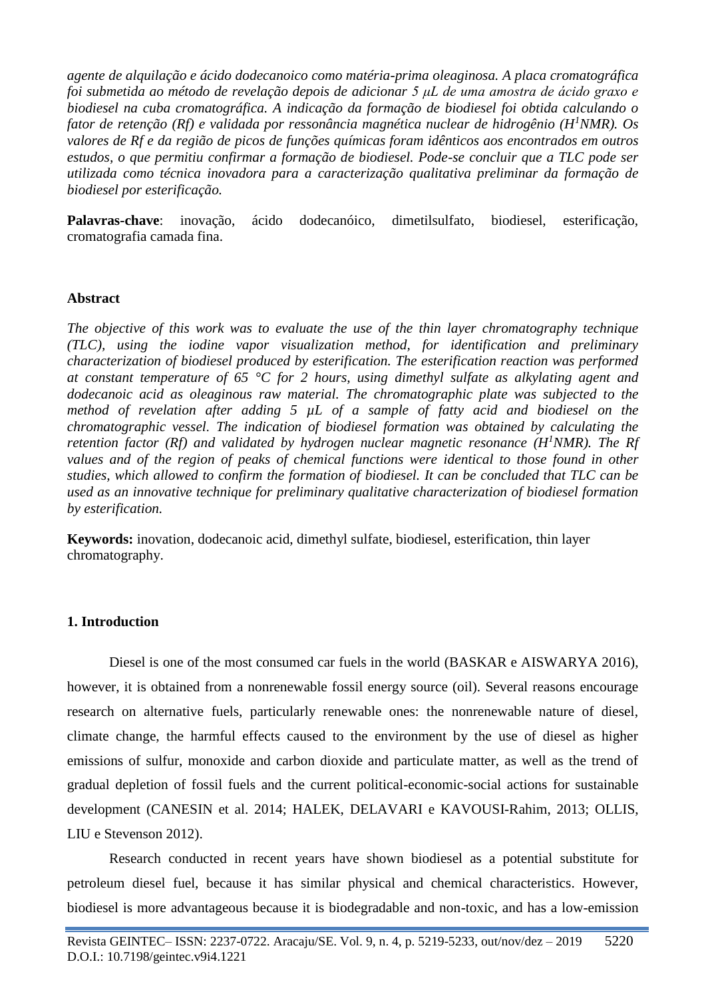*agente de alquilação e ácido dodecanoico como matéria-prima oleaginosa. A placa cromatográfica foi submetida ao método de revelação depois de adicionar 5 μL de uma amostra de ácido graxo e biodiesel na cuba cromatográfica. A indicação da formação de biodiesel foi obtida calculando o fator de retenção (Rf) e validada por ressonância magnética nuclear de hidrogênio (H<sup>1</sup>NMR). Os valores de Rf e da região de picos de funções químicas foram idênticos aos encontrados em outros estudos, o que permitiu confirmar a formação de biodiesel. Pode-se concluir que a TLC pode ser utilizada como técnica inovadora para a caracterização qualitativa preliminar da formação de biodiesel por esterificação.*

**Palavras-chave**: inovação, ácido dodecanóico, dimetilsulfato, biodiesel, esterificação, cromatografia camada fina.

### **Abstract**

*The objective of this work was to evaluate the use of the thin layer chromatography technique (TLC), using the iodine vapor visualization method, for identification and preliminary characterization of biodiesel produced by esterification. The esterification reaction was performed at constant temperature of 65 °C for 2 hours, using dimethyl sulfate as alkylating agent and dodecanoic acid as oleaginous raw material. The chromatographic plate was subjected to the method of revelation after adding 5 µL of a sample of fatty acid and biodiesel on the chromatographic vessel. The indication of biodiesel formation was obtained by calculating the retention factor (Rf) and validated by hydrogen nuclear magnetic resonance (H<sup>1</sup>NMR). The Rf values and of the region of peaks of chemical functions were identical to those found in other studies, which allowed to confirm the formation of biodiesel. It can be concluded that TLC can be used as an innovative technique for preliminary qualitative characterization of biodiesel formation by esterification.*

**Keywords:** inovation, dodecanoic acid, dimethyl sulfate, biodiesel, esterification, thin layer chromatography.

#### **1. Introduction**

Diesel is one of the most consumed car fuels in the world (BASKAR e AISWARYA 2016), however, it is obtained from a nonrenewable fossil energy source (oil). Several reasons encourage research on alternative fuels, particularly renewable ones: the nonrenewable nature of diesel, climate change, the harmful effects caused to the environment by the use of diesel as higher emissions of sulfur, monoxide and carbon dioxide and particulate matter, as well as the trend of gradual depletion of fossil fuels and the current political-economic-social actions for sustainable development (CANESIN et al. 2014; HALEK, DELAVARI e KAVOUSI-Rahim, 2013; OLLIS, LIU e Stevenson 2012).

Research conducted in recent years have shown biodiesel as a potential substitute for petroleum diesel fuel, because it has similar physical and chemical characteristics. However, biodiesel is more advantageous because it is biodegradable and non-toxic, and has a low-emission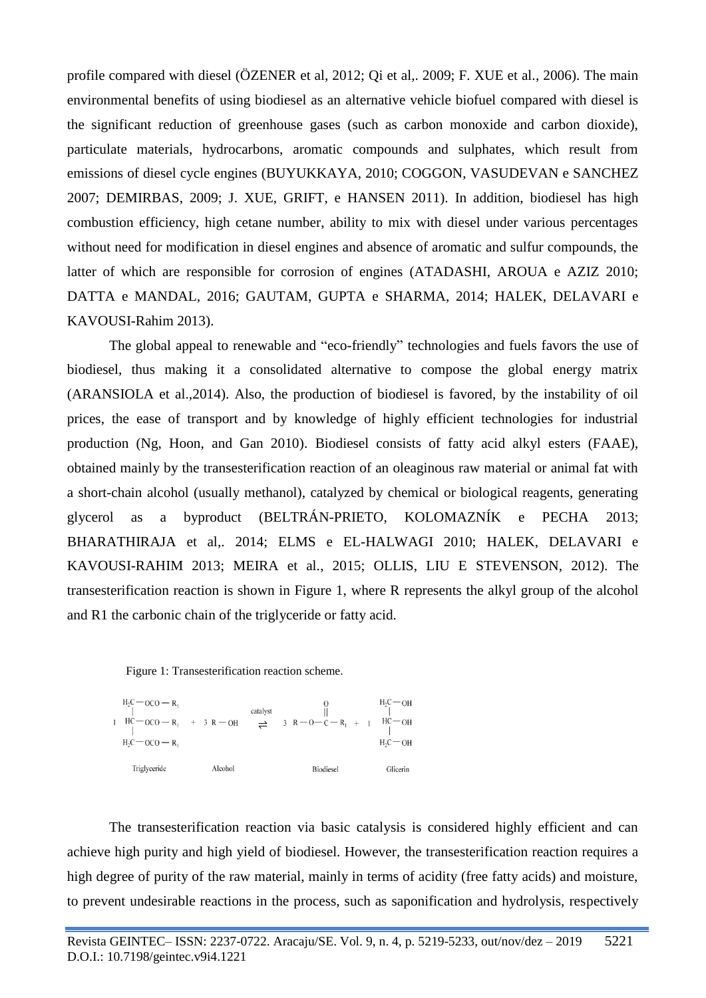profile compared with diesel (ÖZENER et al, 2012; Qi et al,. 2009; F. XUE et al., 2006). The main environmental benefits of using biodiesel as an alternative vehicle biofuel compared with diesel is the significant reduction of greenhouse gases (such as carbon monoxide and carbon dioxide), particulate materials, hydrocarbons, aromatic compounds and sulphates, which result from emissions of diesel cycle engines (BUYUKKAYA, 2010; COGGON, VASUDEVAN e SANCHEZ 2007; DEMIRBAS, 2009; J. XUE, GRIFT, e HANSEN 2011). In addition, biodiesel has high combustion efficiency, high cetane number, ability to mix with diesel under various percentages without need for modification in diesel engines and absence of aromatic and sulfur compounds, the latter of which are responsible for corrosion of engines (ATADASHI, AROUA e AZIZ 2010; DATTA e MANDAL, 2016; GAUTAM, GUPTA e SHARMA, 2014; HALEK, DELAVARI e KAVOUSI-Rahim 2013).

The global appeal to renewable and "eco-friendly" technologies and fuels favors the use of biodiesel, thus making it a consolidated alternative to compose the global energy matrix (ARANSIOLA et al.,2014). Also, the production of biodiesel is favored, by the instability of oil prices, the ease of transport and by knowledge of highly efficient technologies for industrial production (Ng, Hoon, and Gan 2010). Biodiesel consists of fatty acid alkyl esters (FAAE), obtained mainly by the transesterification reaction of an oleaginous raw material or animal fat with a short-chain alcohol (usually methanol), catalyzed by chemical or biological reagents, generating glycerol as a byproduct (BELTRÁN-PRIETO, KOLOMAZNÍK e PECHA 2013; BHARATHIRAJA et al,. 2014; ELMS e EL-HALWAGI 2010; HALEK, DELAVARI e KAVOUSI-RAHIM 2013; MEIRA et al., 2015; OLLIS, LIU E STEVENSON, 2012). The transesterification reaction is shown in Figure 1, where R represents the alkyl group of the alcohol and R1 the carbonic chain of the triglyceride or fatty acid.





The transesterification reaction via basic catalysis is considered highly efficient and can achieve high purity and high yield of biodiesel. However, the transesterification reaction requires a high degree of purity of the raw material, mainly in terms of acidity (free fatty acids) and moisture, to prevent undesirable reactions in the process, such as saponification and hydrolysis, respectively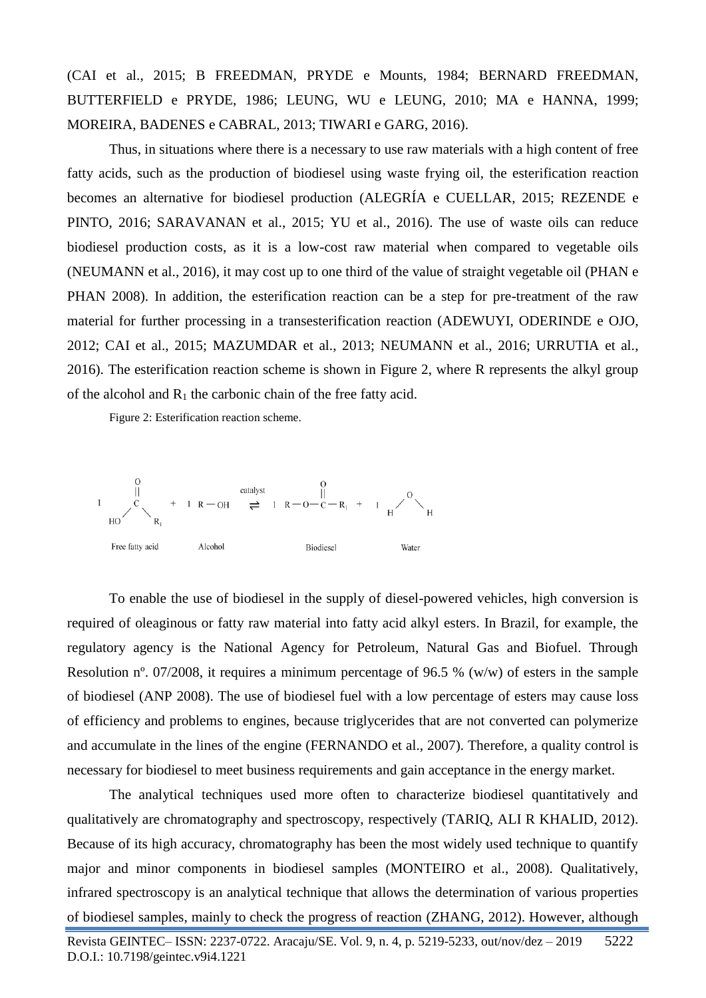(CAI et al., 2015; B FREEDMAN, PRYDE e Mounts, 1984; BERNARD FREEDMAN, BUTTERFIELD e PRYDE, 1986; LEUNG, WU e LEUNG, 2010; MA e HANNA, 1999; MOREIRA, BADENES e CABRAL, 2013; TIWARI e GARG, 2016).

Thus, in situations where there is a necessary to use raw materials with a high content of free fatty acids, such as the production of biodiesel using waste frying oil, the esterification reaction becomes an alternative for biodiesel production (ALEGRÍA e CUELLAR, 2015; REZENDE e PINTO, 2016; SARAVANAN et al., 2015; YU et al., 2016). The use of waste oils can reduce biodiesel production costs, as it is a low-cost raw material when compared to vegetable oils (NEUMANN et al., 2016), it may cost up to one third of the value of straight vegetable oil (PHAN e PHAN 2008). In addition, the esterification reaction can be a step for pre-treatment of the raw material for further processing in a transesterification reaction (ADEWUYI, ODERINDE e OJO, 2012; CAI et al., 2015; MAZUMDAR et al., 2013; NEUMANN et al., 2016; URRUTIA et al., 2016). The esterification reaction scheme is shown in Figure 2, where R represents the alkyl group of the alcohol and  $R_1$  the carbonic chain of the free fatty acid.

Figure 2: Esterification reaction scheme.



To enable the use of biodiesel in the supply of diesel-powered vehicles, high conversion is required of oleaginous or fatty raw material into fatty acid alkyl esters. In Brazil, for example, the regulatory agency is the National Agency for Petroleum, Natural Gas and Biofuel. Through Resolution nº. 07/2008, it requires a minimum percentage of 96.5 % (w/w) of esters in the sample of biodiesel (ANP 2008). The use of biodiesel fuel with a low percentage of esters may cause loss of efficiency and problems to engines, because triglycerides that are not converted can polymerize and accumulate in the lines of the engine (FERNANDO et al., 2007). Therefore, a quality control is necessary for biodiesel to meet business requirements and gain acceptance in the energy market.

The analytical techniques used more often to characterize biodiesel quantitatively and qualitatively are chromatography and spectroscopy, respectively (TARIQ, ALI R KHALID, 2012). Because of its high accuracy, chromatography has been the most widely used technique to quantify major and minor components in biodiesel samples (MONTEIRO et al., 2008). Qualitatively, infrared spectroscopy is an analytical technique that allows the determination of various properties of biodiesel samples, mainly to check the progress of reaction (ZHANG, 2012). However, although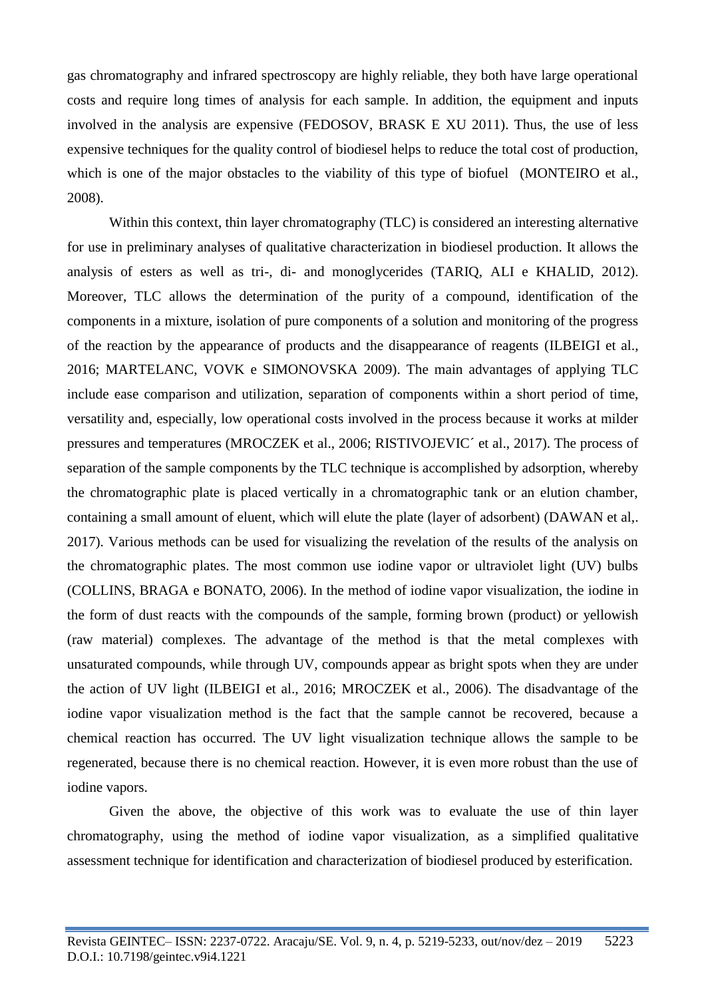gas chromatography and infrared spectroscopy are highly reliable, they both have large operational costs and require long times of analysis for each sample. In addition, the equipment and inputs involved in the analysis are expensive (FEDOSOV, BRASK E XU 2011). Thus, the use of less expensive techniques for the quality control of biodiesel helps to reduce the total cost of production, which is one of the major obstacles to the viability of this type of biofuel (MONTEIRO et al., 2008).

Within this context, thin layer chromatography (TLC) is considered an interesting alternative for use in preliminary analyses of qualitative characterization in biodiesel production. It allows the analysis of esters as well as tri-, di- and monoglycerides (TARIQ, ALI e KHALID, 2012). Moreover, TLC allows the determination of the purity of a compound, identification of the components in a mixture, isolation of pure components of a solution and monitoring of the progress of the reaction by the appearance of products and the disappearance of reagents (ILBEIGI et al., 2016; MARTELANC, VOVK e SIMONOVSKA 2009). The main advantages of applying TLC include ease comparison and utilization, separation of components within a short period of time, versatility and, especially, low operational costs involved in the process because it works at milder pressures and temperatures (MROCZEK et al., 2006; RISTIVOJEVIC´ et al., 2017). The process of separation of the sample components by the TLC technique is accomplished by adsorption, whereby the chromatographic plate is placed vertically in a chromatographic tank or an elution chamber, containing a small amount of eluent, which will elute the plate (layer of adsorbent) (DAWAN et al,. 2017). Various methods can be used for visualizing the revelation of the results of the analysis on the chromatographic plates. The most common use iodine vapor or ultraviolet light (UV) bulbs (COLLINS, BRAGA e BONATO, 2006). In the method of iodine vapor visualization, the iodine in the form of dust reacts with the compounds of the sample, forming brown (product) or yellowish (raw material) complexes. The advantage of the method is that the metal complexes with unsaturated compounds, while through UV, compounds appear as bright spots when they are under the action of UV light (ILBEIGI et al., 2016; MROCZEK et al., 2006). The disadvantage of the iodine vapor visualization method is the fact that the sample cannot be recovered, because a chemical reaction has occurred. The UV light visualization technique allows the sample to be regenerated, because there is no chemical reaction. However, it is even more robust than the use of iodine vapors.

Given the above, the objective of this work was to evaluate the use of thin layer chromatography, using the method of iodine vapor visualization, as a simplified qualitative assessment technique for identification and characterization of biodiesel produced by esterification.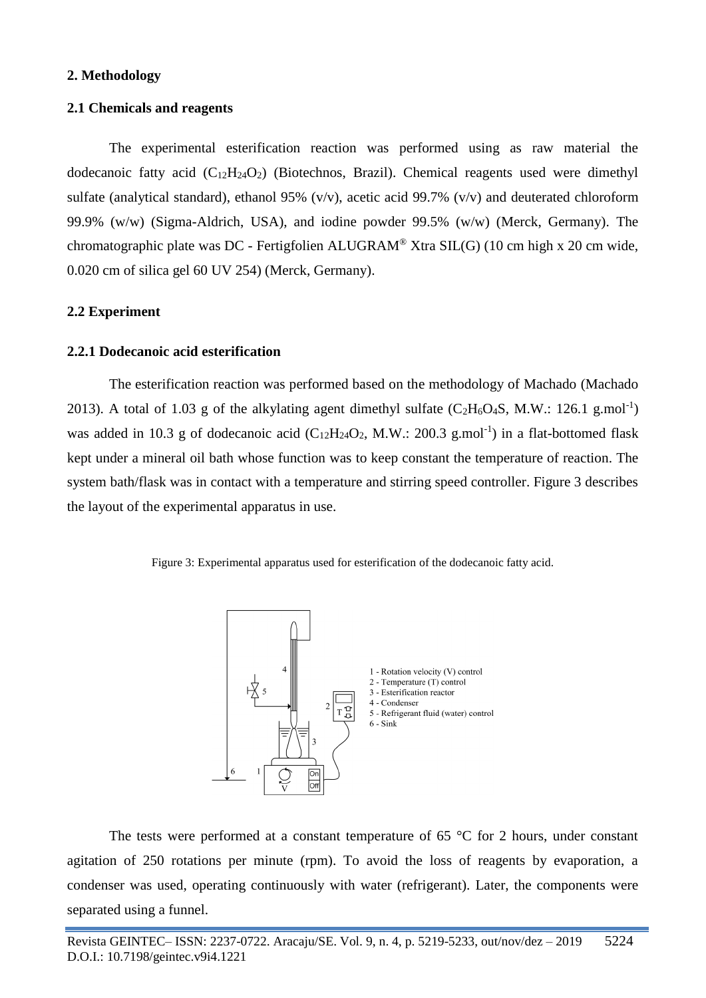## **2. Methodology**

## **2.1 Chemicals and reagents**

The experimental esterification reaction was performed using as raw material the dodecanoic fatty acid  $(C_{12}H_{24}O_2)$  (Biotechnos, Brazil). Chemical reagents used were dimethyl sulfate (analytical standard), ethanol 95% (v/v), acetic acid 99.7% (v/v) and deuterated chloroform 99.9% (w/w) (Sigma-Aldrich, USA), and iodine powder 99.5% (w/w) (Merck, Germany). The chromatographic plate was DC - Fertigfolien ALUGRAM® Xtra SIL(G) (10 cm high x 20 cm wide, 0.020 cm of silica gel 60 UV 254) (Merck, Germany).

# **2.2 Experiment**

## **2.2.1 Dodecanoic acid esterification**

The esterification reaction was performed based on the methodology of Machado (Machado 2013). A total of 1.03 g of the alkylating agent dimethyl sulfate  $(C_2H_6O_4S, M.W.: 126.1 g.mol^{-1})$ was added in 10.3 g of dodecanoic acid  $(C_{12}H_{24}O_2, M.W.: 200.3 \text{ g.mol}^{-1})$  in a flat-bottomed flask kept under a mineral oil bath whose function was to keep constant the temperature of reaction. The system bath/flask was in contact with a temperature and stirring speed controller. Figure 3 describes the layout of the experimental apparatus in use.





The tests were performed at a constant temperature of 65  $\degree$ C for 2 hours, under constant agitation of 250 rotations per minute (rpm). To avoid the loss of reagents by evaporation, a condenser was used, operating continuously with water (refrigerant). Later, the components were separated using a funnel.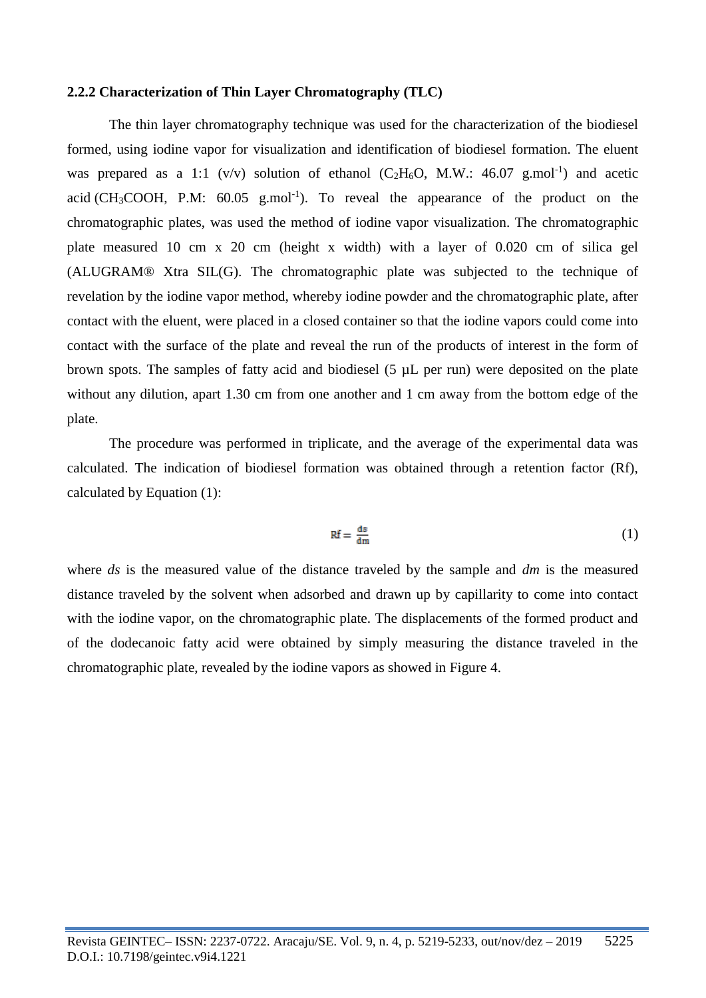#### **2.2.2 Characterization of Thin Layer Chromatography (TLC)**

The thin layer chromatography technique was used for the characterization of the biodiesel formed, using iodine vapor for visualization and identification of biodiesel formation. The eluent was prepared as a 1:1 (v/v) solution of ethanol ( $C_2H_6O$ , M.W.: 46.07 g.mol<sup>-1</sup>) and acetic acid (CH<sub>3</sub>COOH, P.M:  $60.05$  g.mol<sup>-1</sup>). To reveal the appearance of the product on the chromatographic plates, was used the method of iodine vapor visualization. The chromatographic plate measured 10 cm x 20 cm (height x width) with a layer of 0.020 cm of silica gel (ALUGRAM® Xtra SIL(G). The chromatographic plate was subjected to the technique of revelation by the iodine vapor method, whereby iodine powder and the chromatographic plate, after contact with the eluent, were placed in a closed container so that the iodine vapors could come into contact with the surface of the plate and reveal the run of the products of interest in the form of brown spots. The samples of fatty acid and biodiesel (5 µL per run) were deposited on the plate without any dilution, apart 1.30 cm from one another and 1 cm away from the bottom edge of the plate.

The procedure was performed in triplicate, and the average of the experimental data was calculated. The indication of biodiesel formation was obtained through a retention factor (Rf), calculated by Equation (1):

$$
Rf = \frac{ds}{dm} \tag{1}
$$

where *ds* is the measured value of the distance traveled by the sample and *dm* is the measured distance traveled by the solvent when adsorbed and drawn up by capillarity to come into contact with the iodine vapor, on the chromatographic plate. The displacements of the formed product and of the dodecanoic fatty acid were obtained by simply measuring the distance traveled in the chromatographic plate, revealed by the iodine vapors as showed in Figure 4.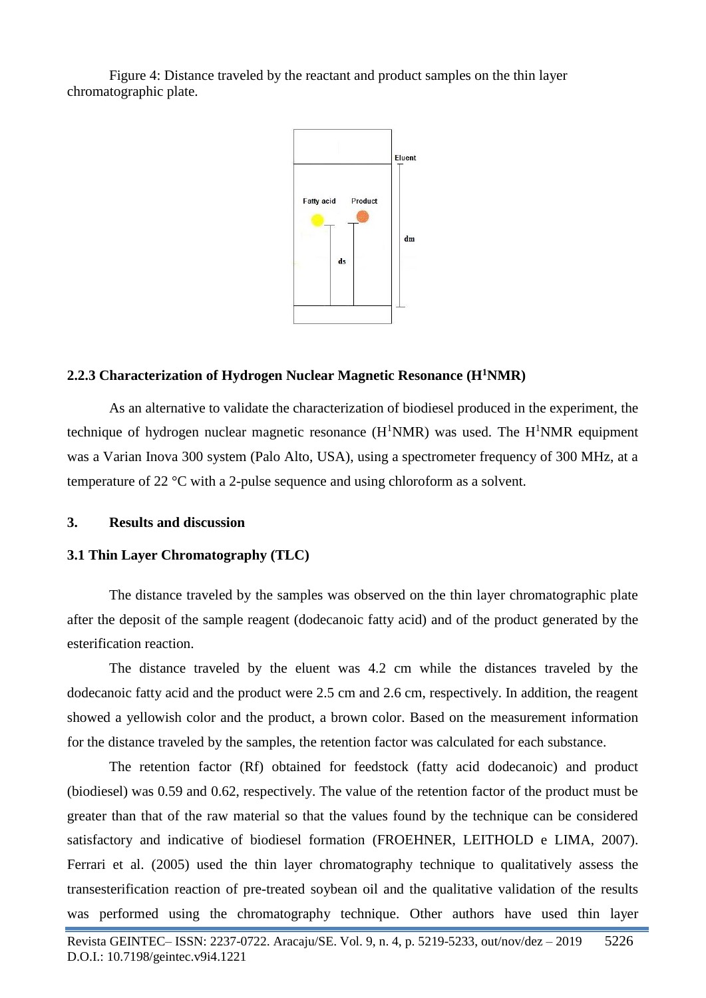Figure 4: Distance traveled by the reactant and product samples on the thin layer chromatographic plate.



## **2.2.3 Characterization of Hydrogen Nuclear Magnetic Resonance (H<sup>1</sup>NMR)**

As an alternative to validate the characterization of biodiesel produced in the experiment, the technique of hydrogen nuclear magnetic resonance  $(H^1NMR)$  was used. The  $H^1NMR$  equipment was a Varian Inova 300 system (Palo Alto, USA), using a spectrometer frequency of 300 MHz, at a temperature of 22 °C with a 2-pulse sequence and using chloroform as a solvent.

**3. Results and discussion**

#### **3.1 Thin Layer Chromatography (TLC)**

The distance traveled by the samples was observed on the thin layer chromatographic plate after the deposit of the sample reagent (dodecanoic fatty acid) and of the product generated by the esterification reaction.

The distance traveled by the eluent was 4.2 cm while the distances traveled by the dodecanoic fatty acid and the product were 2.5 cm and 2.6 cm, respectively. In addition, the reagent showed a yellowish color and the product, a brown color. Based on the measurement information for the distance traveled by the samples, the retention factor was calculated for each substance.

The retention factor (Rf) obtained for feedstock (fatty acid dodecanoic) and product (biodiesel) was 0.59 and 0.62, respectively. The value of the retention factor of the product must be greater than that of the raw material so that the values found by the technique can be considered satisfactory and indicative of biodiesel formation (FROEHNER, LEITHOLD e LIMA, 2007). Ferrari et al. (2005) used the thin layer chromatography technique to qualitatively assess the transesterification reaction of pre-treated soybean oil and the qualitative validation of the results was performed using the chromatography technique. Other authors have used thin layer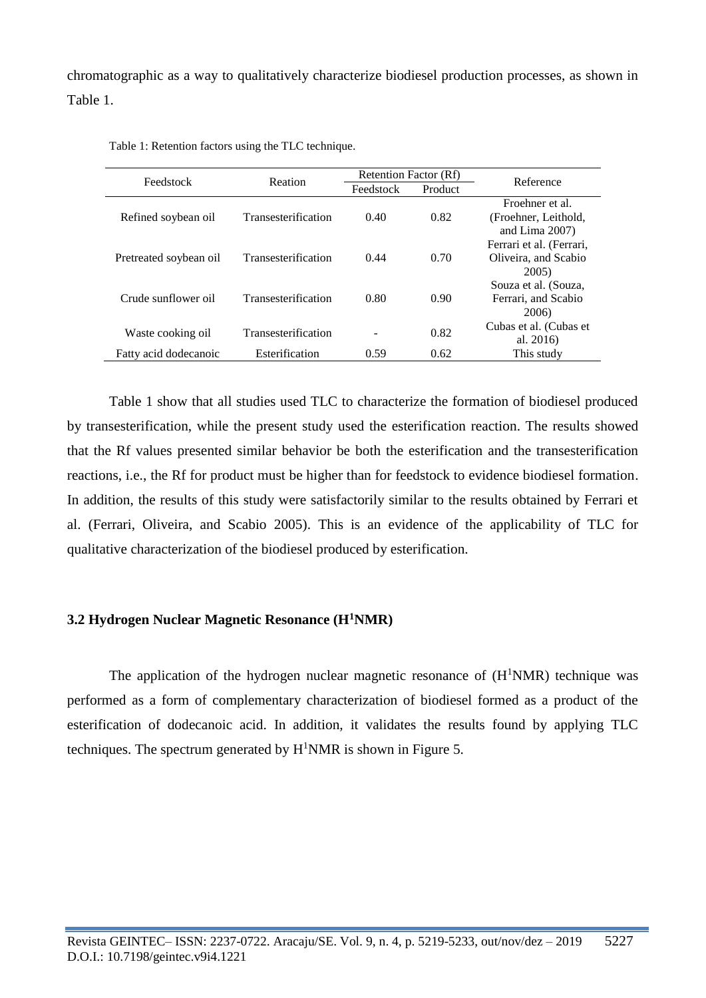chromatographic as a way to qualitatively characterize biodiesel production processes, as shown in Table 1.

| Feedstock              | Reation             | Retention Factor (Rf) |         | Reference                |
|------------------------|---------------------|-----------------------|---------|--------------------------|
|                        |                     | Feedstock             | Product |                          |
|                        |                     |                       |         | Froehner et al.          |
| Refined soybean oil    | Transesterification | 0.40                  | 0.82    | (Froehner, Leithold,     |
|                        |                     |                       |         | and Lima $2007$ )        |
| Pretreated soybean oil | Transesterification | 0.44                  | 0.70    | Ferrari et al. (Ferrari, |
|                        |                     |                       |         | Oliveira, and Scabio     |
|                        |                     |                       |         | 2005)                    |
| Crude sunflower oil    | Transesterification | 0.80                  | 0.90    | Souza et al. (Souza,     |
|                        |                     |                       |         | Ferrari, and Scabio      |
|                        |                     |                       |         | 2006)                    |
| Waste cooking oil      | Transesterification | -                     | 0.82    | Cubas et al. (Cubas et   |
|                        |                     |                       |         | al. $2016$               |
| Fatty acid dodecanoic  | Esterification      | 0.59                  | 0.62    | This study               |

Table 1: Retention factors using the TLC technique.

Table 1 show that all studies used TLC to characterize the formation of biodiesel produced by transesterification, while the present study used the esterification reaction. The results showed that the Rf values presented similar behavior be both the esterification and the transesterification reactions, i.e., the Rf for product must be higher than for feedstock to evidence biodiesel formation. In addition, the results of this study were satisfactorily similar to the results obtained by Ferrari et al. (Ferrari, Oliveira, and Scabio 2005). This is an evidence of the applicability of TLC for qualitative characterization of the biodiesel produced by esterification.

## **3.2 Hydrogen Nuclear Magnetic Resonance (H<sup>1</sup>NMR)**

The application of the hydrogen nuclear magnetic resonance of  $(H^1NMR)$  technique was performed as a form of complementary characterization of biodiesel formed as a product of the esterification of dodecanoic acid. In addition, it validates the results found by applying TLC techniques. The spectrum generated by  $H<sup>1</sup>NMR$  is shown in Figure 5.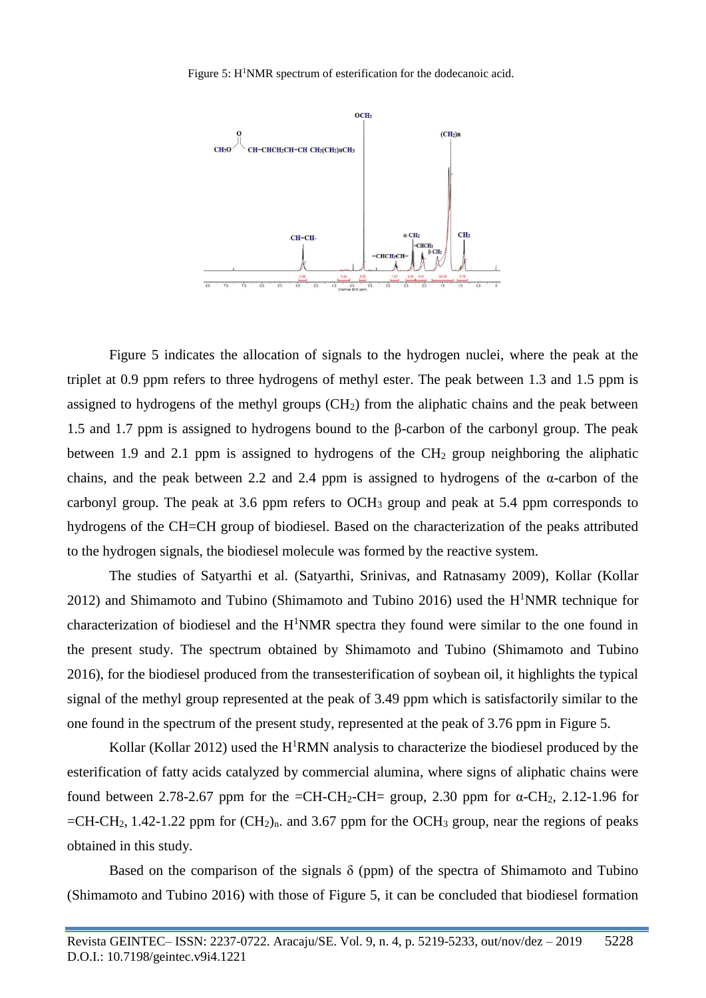

Figure 5 indicates the allocation of signals to the hydrogen nuclei, where the peak at the triplet at 0.9 ppm refers to three hydrogens of methyl ester. The peak between 1.3 and 1.5 ppm is assigned to hydrogens of the methyl groups  $(CH<sub>2</sub>)$  from the aliphatic chains and the peak between 1.5 and 1.7 ppm is assigned to hydrogens bound to the β-carbon of the carbonyl group. The peak between 1.9 and 2.1 ppm is assigned to hydrogens of the  $CH<sub>2</sub>$  group neighboring the aliphatic chains, and the peak between 2.2 and 2.4 ppm is assigned to hydrogens of the α-carbon of the carbonyl group. The peak at 3.6 ppm refers to  $OCH_3$  group and peak at 5.4 ppm corresponds to hydrogens of the CH=CH group of biodiesel. Based on the characterization of the peaks attributed to the hydrogen signals, the biodiesel molecule was formed by the reactive system.

The studies of Satyarthi et al. (Satyarthi, Srinivas, and Ratnasamy 2009), Kollar (Kollar 2012) and Shimamoto and Tubino (Shimamoto and Tubino 2016) used the  $H<sup>1</sup>NMR$  technique for characterization of biodiesel and the  $H<sup>1</sup>NMR$  spectra they found were similar to the one found in the present study. The spectrum obtained by Shimamoto and Tubino (Shimamoto and Tubino 2016), for the biodiesel produced from the transesterification of soybean oil, it highlights the typical signal of the methyl group represented at the peak of 3.49 ppm which is satisfactorily similar to the one found in the spectrum of the present study, represented at the peak of 3.76 ppm in Figure 5.

Kollar (Kollar 2012) used the H<sup>1</sup>RMN analysis to characterize the biodiesel produced by the esterification of fatty acids catalyzed by commercial alumina, where signs of aliphatic chains were found between 2.78-2.67 ppm for the =CH-CH<sub>2</sub>-CH= group, 2.30 ppm for α-CH<sub>2</sub>, 2.12-1.96 for  $=CH-CH_2$ , 1.42-1.22 ppm for  $(CH_2)_n$ . and 3.67 ppm for the OCH<sub>3</sub> group, near the regions of peaks obtained in this study.

Based on the comparison of the signals  $\delta$  (ppm) of the spectra of Shimamoto and Tubino (Shimamoto and Tubino 2016) with those of Figure 5, it can be concluded that biodiesel formation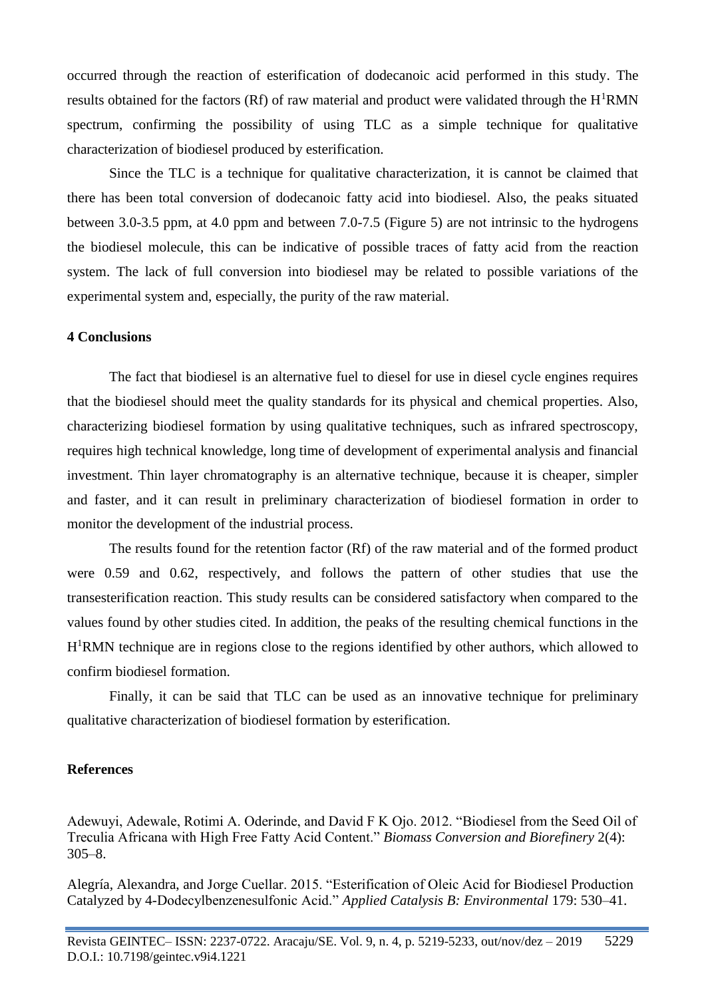occurred through the reaction of esterification of dodecanoic acid performed in this study. The results obtained for the factors (Rf) of raw material and product were validated through the  $H<sup>1</sup>RMN$ spectrum, confirming the possibility of using TLC as a simple technique for qualitative characterization of biodiesel produced by esterification.

Since the TLC is a technique for qualitative characterization, it is cannot be claimed that there has been total conversion of dodecanoic fatty acid into biodiesel. Also, the peaks situated between 3.0-3.5 ppm, at 4.0 ppm and between 7.0-7.5 (Figure 5) are not intrinsic to the hydrogens the biodiesel molecule, this can be indicative of possible traces of fatty acid from the reaction system. The lack of full conversion into biodiesel may be related to possible variations of the experimental system and, especially, the purity of the raw material.

### **4 Conclusions**

The fact that biodiesel is an alternative fuel to diesel for use in diesel cycle engines requires that the biodiesel should meet the quality standards for its physical and chemical properties. Also, characterizing biodiesel formation by using qualitative techniques, such as infrared spectroscopy, requires high technical knowledge, long time of development of experimental analysis and financial investment. Thin layer chromatography is an alternative technique, because it is cheaper, simpler and faster, and it can result in preliminary characterization of biodiesel formation in order to monitor the development of the industrial process.

The results found for the retention factor (Rf) of the raw material and of the formed product were 0.59 and 0.62, respectively, and follows the pattern of other studies that use the transesterification reaction. This study results can be considered satisfactory when compared to the values found by other studies cited. In addition, the peaks of the resulting chemical functions in the H<sup>1</sup>RMN technique are in regions close to the regions identified by other authors, which allowed to confirm biodiesel formation.

Finally, it can be said that TLC can be used as an innovative technique for preliminary qualitative characterization of biodiesel formation by esterification.

#### **References**

Adewuyi, Adewale, Rotimi A. Oderinde, and David F K Ojo. 2012. "Biodiesel from the Seed Oil of Treculia Africana with High Free Fatty Acid Content." *Biomass Conversion and Biorefinery* 2(4): 305–8.

Alegría, Alexandra, and Jorge Cuellar. 2015. "Esterification of Oleic Acid for Biodiesel Production Catalyzed by 4-Dodecylbenzenesulfonic Acid." *Applied Catalysis B: Environmental* 179: 530–41.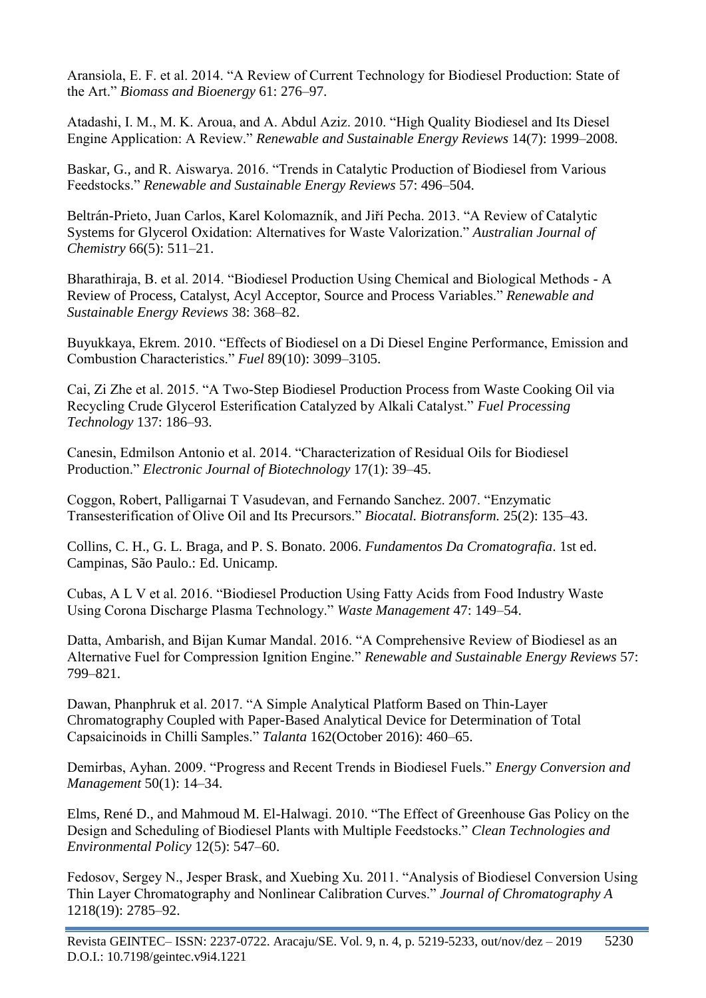Aransiola, E. F. et al. 2014. "A Review of Current Technology for Biodiesel Production: State of the Art." *Biomass and Bioenergy* 61: 276–97.

Atadashi, I. M., M. K. Aroua, and A. Abdul Aziz. 2010. "High Quality Biodiesel and Its Diesel Engine Application: A Review." *Renewable and Sustainable Energy Reviews* 14(7): 1999–2008.

Baskar, G., and R. Aiswarya. 2016. "Trends in Catalytic Production of Biodiesel from Various Feedstocks." *Renewable and Sustainable Energy Reviews* 57: 496–504.

Beltrán-Prieto, Juan Carlos, Karel Kolomazník, and Jiří Pecha. 2013. "A Review of Catalytic Systems for Glycerol Oxidation: Alternatives for Waste Valorization." *Australian Journal of Chemistry* 66(5): 511–21.

Bharathiraja, B. et al. 2014. "Biodiesel Production Using Chemical and Biological Methods - A Review of Process, Catalyst, Acyl Acceptor, Source and Process Variables." *Renewable and Sustainable Energy Reviews* 38: 368–82.

Buyukkaya, Ekrem. 2010. "Effects of Biodiesel on a Di Diesel Engine Performance, Emission and Combustion Characteristics." *Fuel* 89(10): 3099–3105.

Cai, Zi Zhe et al. 2015. "A Two-Step Biodiesel Production Process from Waste Cooking Oil via Recycling Crude Glycerol Esterification Catalyzed by Alkali Catalyst." *Fuel Processing Technology* 137: 186–93.

Canesin, Edmilson Antonio et al. 2014. "Characterization of Residual Oils for Biodiesel Production." *Electronic Journal of Biotechnology* 17(1): 39–45.

Coggon, Robert, Palligarnai T Vasudevan, and Fernando Sanchez. 2007. "Enzymatic Transesterification of Olive Oil and Its Precursors." *Biocatal. Biotransform.* 25(2): 135–43.

Collins, C. H., G. L. Braga, and P. S. Bonato. 2006. *Fundamentos Da Cromatografia*. 1st ed. Campinas, São Paulo.: Ed. Unicamp.

Cubas, A L V et al. 2016. "Biodiesel Production Using Fatty Acids from Food Industry Waste Using Corona Discharge Plasma Technology." *Waste Management* 47: 149–54.

Datta, Ambarish, and Bijan Kumar Mandal. 2016. "A Comprehensive Review of Biodiesel as an Alternative Fuel for Compression Ignition Engine." *Renewable and Sustainable Energy Reviews* 57: 799–821.

Dawan, Phanphruk et al. 2017. "A Simple Analytical Platform Based on Thin-Layer Chromatography Coupled with Paper-Based Analytical Device for Determination of Total Capsaicinoids in Chilli Samples." *Talanta* 162(October 2016): 460–65.

Demirbas, Ayhan. 2009. "Progress and Recent Trends in Biodiesel Fuels." *Energy Conversion and Management* 50(1): 14–34.

Elms, René D., and Mahmoud M. El-Halwagi. 2010. "The Effect of Greenhouse Gas Policy on the Design and Scheduling of Biodiesel Plants with Multiple Feedstocks." *Clean Technologies and Environmental Policy* 12(5): 547–60.

Fedosov, Sergey N., Jesper Brask, and Xuebing Xu. 2011. "Analysis of Biodiesel Conversion Using Thin Layer Chromatography and Nonlinear Calibration Curves." *Journal of Chromatography A* 1218(19): 2785–92.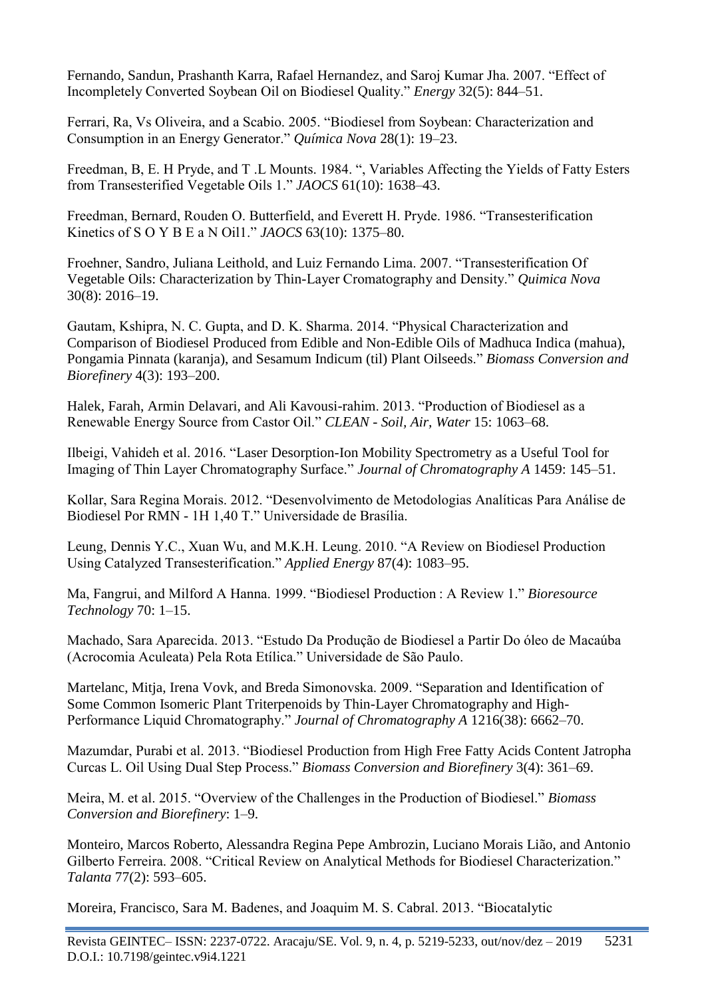Fernando, Sandun, Prashanth Karra, Rafael Hernandez, and Saroj Kumar Jha. 2007. "Effect of Incompletely Converted Soybean Oil on Biodiesel Quality." *Energy* 32(5): 844–51.

Ferrari, Ra, Vs Oliveira, and a Scabio. 2005. "Biodiesel from Soybean: Characterization and Consumption in an Energy Generator." *Química Nova* 28(1): 19–23.

Freedman, B, E. H Pryde, and T .L Mounts. 1984. ", Variables Affecting the Yields of Fatty Esters from Transesterified Vegetable Oils 1." *JAOCS* 61(10): 1638–43.

Freedman, Bernard, Rouden O. Butterfield, and Everett H. Pryde. 1986. "Transesterification Kinetics of S O Y B E a N Oil1." *JAOCS* 63(10): 1375–80.

Froehner, Sandro, Juliana Leithold, and Luiz Fernando Lima. 2007. "Transesterification Of Vegetable Oils: Characterization by Thin-Layer Cromatography and Density." *Quimica Nova* 30(8): 2016–19.

Gautam, Kshipra, N. C. Gupta, and D. K. Sharma. 2014. "Physical Characterization and Comparison of Biodiesel Produced from Edible and Non-Edible Oils of Madhuca Indica (mahua), Pongamia Pinnata (karanja), and Sesamum Indicum (til) Plant Oilseeds." *Biomass Conversion and Biorefinery* 4(3): 193–200.

Halek, Farah, Armin Delavari, and Ali Kavousi-rahim. 2013. "Production of Biodiesel as a Renewable Energy Source from Castor Oil." *CLEAN - Soil, Air, Water* 15: 1063–68.

Ilbeigi, Vahideh et al. 2016. "Laser Desorption-Ion Mobility Spectrometry as a Useful Tool for Imaging of Thin Layer Chromatography Surface." *Journal of Chromatography A* 1459: 145–51.

Kollar, Sara Regina Morais. 2012. "Desenvolvimento de Metodologias Analíticas Para Análise de Biodiesel Por RMN - 1H 1,40 T." Universidade de Brasília.

Leung, Dennis Y.C., Xuan Wu, and M.K.H. Leung. 2010. "A Review on Biodiesel Production Using Catalyzed Transesterification." *Applied Energy* 87(4): 1083–95.

Ma, Fangrui, and Milford A Hanna. 1999. "Biodiesel Production : A Review 1." *Bioresource Technology* 70: 1–15.

Machado, Sara Aparecida. 2013. "Estudo Da Produção de Biodiesel a Partir Do óleo de Macaúba (Acrocomia Aculeata) Pela Rota Etílica." Universidade de São Paulo.

Martelanc, Mitja, Irena Vovk, and Breda Simonovska. 2009. "Separation and Identification of Some Common Isomeric Plant Triterpenoids by Thin-Layer Chromatography and High-Performance Liquid Chromatography." *Journal of Chromatography A* 1216(38): 6662–70.

Mazumdar, Purabi et al. 2013. "Biodiesel Production from High Free Fatty Acids Content Jatropha Curcas L. Oil Using Dual Step Process." *Biomass Conversion and Biorefinery* 3(4): 361–69.

Meira, M. et al. 2015. "Overview of the Challenges in the Production of Biodiesel." *Biomass Conversion and Biorefinery*: 1–9.

Monteiro, Marcos Roberto, Alessandra Regina Pepe Ambrozin, Luciano Morais Lião, and Antonio Gilberto Ferreira. 2008. "Critical Review on Analytical Methods for Biodiesel Characterization." *Talanta* 77(2): 593–605.

Moreira, Francisco, Sara M. Badenes, and Joaquim M. S. Cabral. 2013. "Biocatalytic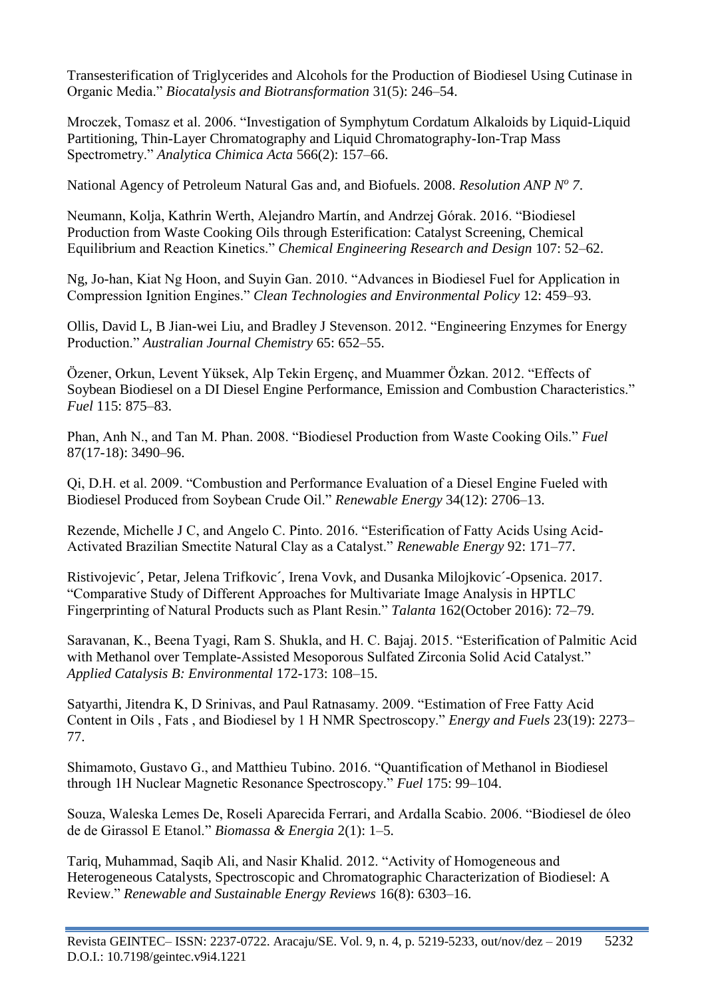Transesterification of Triglycerides and Alcohols for the Production of Biodiesel Using Cutinase in Organic Media." *Biocatalysis and Biotransformation* 31(5): 246–54.

Mroczek, Tomasz et al. 2006. "Investigation of Symphytum Cordatum Alkaloids by Liquid-Liquid Partitioning, Thin-Layer Chromatography and Liquid Chromatography-Ion-Trap Mass Spectrometry." *Analytica Chimica Acta* 566(2): 157–66.

National Agency of Petroleum Natural Gas and, and Biofuels. 2008. *Resolution ANP N<sup>o</sup> 7*.

Neumann, Kolja, Kathrin Werth, Alejandro Martín, and Andrzej Górak. 2016. "Biodiesel Production from Waste Cooking Oils through Esterification: Catalyst Screening, Chemical Equilibrium and Reaction Kinetics." *Chemical Engineering Research and Design* 107: 52–62.

Ng, Jo-han, Kiat Ng Hoon, and Suyin Gan. 2010. "Advances in Biodiesel Fuel for Application in Compression Ignition Engines." *Clean Technologies and Environmental Policy* 12: 459–93.

Ollis, David L, B Jian-wei Liu, and Bradley J Stevenson. 2012. "Engineering Enzymes for Energy Production." *Australian Journal Chemistry* 65: 652–55.

Özener, Orkun, Levent Yüksek, Alp Tekin Ergenç, and Muammer Özkan. 2012. "Effects of Soybean Biodiesel on a DI Diesel Engine Performance, Emission and Combustion Characteristics." *Fuel* 115: 875–83.

Phan, Anh N., and Tan M. Phan. 2008. "Biodiesel Production from Waste Cooking Oils." *Fuel* 87(17-18): 3490–96.

Qi, D.H. et al. 2009. "Combustion and Performance Evaluation of a Diesel Engine Fueled with Biodiesel Produced from Soybean Crude Oil." *Renewable Energy* 34(12): 2706–13.

Rezende, Michelle J C, and Angelo C. Pinto. 2016. "Esterification of Fatty Acids Using Acid-Activated Brazilian Smectite Natural Clay as a Catalyst." *Renewable Energy* 92: 171–77.

Ristivojevic´, Petar, Jelena Trifkovic´, Irena Vovk, and Dusanka Milojkovic´-Opsenica. 2017. "Comparative Study of Different Approaches for Multivariate Image Analysis in HPTLC Fingerprinting of Natural Products such as Plant Resin." *Talanta* 162(October 2016): 72–79.

Saravanan, K., Beena Tyagi, Ram S. Shukla, and H. C. Bajaj. 2015. "Esterification of Palmitic Acid with Methanol over Template-Assisted Mesoporous Sulfated Zirconia Solid Acid Catalyst." *Applied Catalysis B: Environmental* 172-173: 108–15.

Satyarthi, Jitendra K, D Srinivas, and Paul Ratnasamy. 2009. "Estimation of Free Fatty Acid Content in Oils , Fats , and Biodiesel by 1 H NMR Spectroscopy." *Energy and Fuels* 23(19): 2273– 77.

Shimamoto, Gustavo G., and Matthieu Tubino. 2016. "Quantification of Methanol in Biodiesel through 1H Nuclear Magnetic Resonance Spectroscopy." *Fuel* 175: 99–104.

Souza, Waleska Lemes De, Roseli Aparecida Ferrari, and Ardalla Scabio. 2006. "Biodiesel de óleo de de Girassol E Etanol." *Biomassa & Energia* 2(1): 1–5.

Tariq, Muhammad, Saqib Ali, and Nasir Khalid. 2012. "Activity of Homogeneous and Heterogeneous Catalysts, Spectroscopic and Chromatographic Characterization of Biodiesel: A Review." *Renewable and Sustainable Energy Reviews* 16(8): 6303–16.